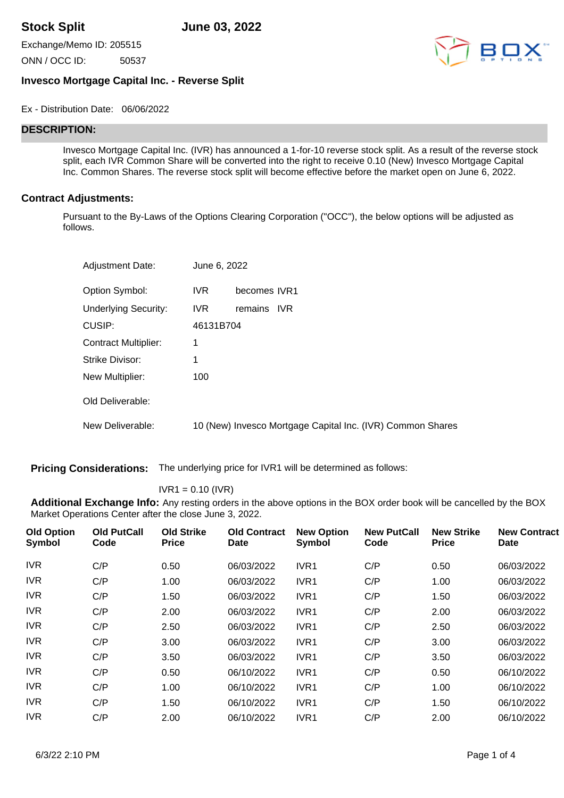**Stock Split June 03, 2022**

Exchange/Memo ID: 205515

ONN / OCC ID: 50537



# **Invesco Mortgage Capital Inc. - Reverse Split**

Ex - Distribution Date: 06/06/2022

# **DESCRIPTION:**

Invesco Mortgage Capital Inc. (IVR) has announced a 1-for-10 reverse stock split. As a result of the reverse stock split, each IVR Common Share will be converted into the right to receive 0.10 (New) Invesco Mortgage Capital Inc. Common Shares. The reverse stock split will become effective before the market open on June 6, 2022.

### **Contract Adjustments:**

Pursuant to the By-Laws of the Options Clearing Corporation ("OCC"), the below options will be adjusted as follows.

| <b>Adjustment Date:</b>     | June 6, 2022 |                                                            |
|-----------------------------|--------------|------------------------------------------------------------|
| Option Symbol:              | IVR.         | becomes IVR1                                               |
| <b>Underlying Security:</b> | IVR.         | remains<br><b>IVR</b>                                      |
| CUSIP:                      | 46131B704    |                                                            |
| <b>Contract Multiplier:</b> | 1            |                                                            |
| Strike Divisor:             | 1            |                                                            |
| New Multiplier:             | 100          |                                                            |
| Old Deliverable:            |              |                                                            |
| New Deliverable:            |              | 10 (New) Invesco Mortgage Capital Inc. (IVR) Common Shares |

**Pricing Considerations:** The underlying price for IVR1 will be determined as follows:

#### $IVR1 = 0.10 (IVR)$

**Additional Exchange Info:** Any resting orders in the above options in the BOX order book will be cancelled by the BOX Market Operations Center after the close June 3, 2022.

| <b>Old Option</b><br>Symbol | <b>Old PutCall</b><br>Code | <b>Old Strike</b><br><b>Price</b> | <b>Old Contract</b><br>Date | <b>New Option</b><br><b>Symbol</b> | <b>New PutCall</b><br>Code | <b>New Strike</b><br><b>Price</b> | <b>New Contract</b><br>Date |
|-----------------------------|----------------------------|-----------------------------------|-----------------------------|------------------------------------|----------------------------|-----------------------------------|-----------------------------|
| <b>IVR</b>                  | C/P                        | 0.50                              | 06/03/2022                  | IVR <sub>1</sub>                   | C/P                        | 0.50                              | 06/03/2022                  |
| <b>IVR</b>                  | C/P                        | 1.00                              | 06/03/2022                  | IVR1                               | C/P                        | 1.00                              | 06/03/2022                  |
| <b>IVR</b>                  | C/P                        | 1.50                              | 06/03/2022                  | IVR1                               | C/P                        | 1.50                              | 06/03/2022                  |
| <b>IVR</b>                  | C/P                        | 2.00                              | 06/03/2022                  | IVR1                               | C/P                        | 2.00                              | 06/03/2022                  |
| <b>IVR</b>                  | C/P                        | 2.50                              | 06/03/2022                  | IVR1                               | C/P                        | 2.50                              | 06/03/2022                  |
| <b>IVR</b>                  | C/P                        | 3.00                              | 06/03/2022                  | IVR1                               | C/P                        | 3.00                              | 06/03/2022                  |
| <b>IVR</b>                  | C/P                        | 3.50                              | 06/03/2022                  | IVR1                               | C/P                        | 3.50                              | 06/03/2022                  |
| <b>IVR</b>                  | C/P                        | 0.50                              | 06/10/2022                  | IVR1                               | C/P                        | 0.50                              | 06/10/2022                  |
| <b>IVR</b>                  | C/P                        | 1.00                              | 06/10/2022                  | IVR1                               | C/P                        | 1.00                              | 06/10/2022                  |
| <b>IVR</b>                  | C/P                        | 1.50                              | 06/10/2022                  | IVR1                               | C/P                        | 1.50                              | 06/10/2022                  |
| <b>IVR</b>                  | C/P                        | 2.00                              | 06/10/2022                  | IVR1                               | C/P                        | 2.00                              | 06/10/2022                  |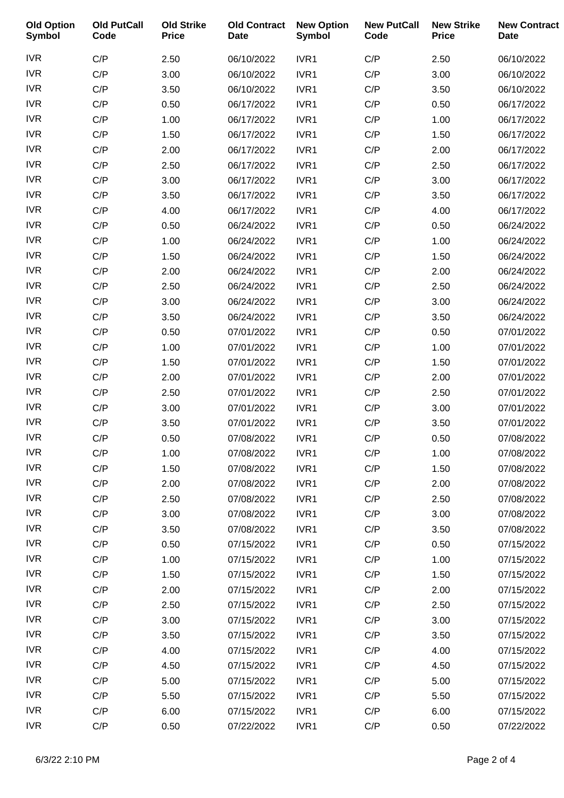| <b>Old Option</b><br><b>Symbol</b> | <b>Old PutCall</b><br>Code | <b>Old Strike</b><br><b>Price</b> | <b>Old Contract</b><br><b>Date</b> | <b>New Option</b><br><b>Symbol</b> | <b>New PutCall</b><br>Code | <b>New Strike</b><br><b>Price</b> | <b>New Contract</b><br><b>Date</b> |
|------------------------------------|----------------------------|-----------------------------------|------------------------------------|------------------------------------|----------------------------|-----------------------------------|------------------------------------|
| <b>IVR</b>                         | C/P                        | 2.50                              | 06/10/2022                         | IVR1                               | C/P                        | 2.50                              | 06/10/2022                         |
| <b>IVR</b>                         | C/P                        | 3.00                              | 06/10/2022                         | IVR1                               | C/P                        | 3.00                              | 06/10/2022                         |
| <b>IVR</b>                         | C/P                        | 3.50                              | 06/10/2022                         | IVR1                               | C/P                        | 3.50                              | 06/10/2022                         |
| <b>IVR</b>                         | C/P                        | 0.50                              | 06/17/2022                         | IVR1                               | C/P                        | 0.50                              | 06/17/2022                         |
| <b>IVR</b>                         | C/P                        | 1.00                              | 06/17/2022                         | IVR1                               | C/P                        | 1.00                              | 06/17/2022                         |
| <b>IVR</b>                         | C/P                        | 1.50                              | 06/17/2022                         | IVR1                               | C/P                        | 1.50                              | 06/17/2022                         |
| <b>IVR</b>                         | C/P                        | 2.00                              | 06/17/2022                         | IVR1                               | C/P                        | 2.00                              | 06/17/2022                         |
| <b>IVR</b>                         | C/P                        | 2.50                              | 06/17/2022                         | IVR1                               | C/P                        | 2.50                              | 06/17/2022                         |
| <b>IVR</b>                         | C/P                        | 3.00                              | 06/17/2022                         | IVR1                               | C/P                        | 3.00                              | 06/17/2022                         |
| <b>IVR</b>                         | C/P                        | 3.50                              | 06/17/2022                         | IVR1                               | C/P                        | 3.50                              | 06/17/2022                         |
| <b>IVR</b>                         | C/P                        | 4.00                              | 06/17/2022                         | IVR1                               | C/P                        | 4.00                              | 06/17/2022                         |
| <b>IVR</b>                         | C/P                        | 0.50                              | 06/24/2022                         | IVR1                               | C/P                        | 0.50                              | 06/24/2022                         |
| <b>IVR</b>                         | C/P                        | 1.00                              | 06/24/2022                         | IVR1                               | C/P                        | 1.00                              | 06/24/2022                         |
| <b>IVR</b>                         | C/P                        | 1.50                              | 06/24/2022                         | IVR1                               | C/P                        | 1.50                              | 06/24/2022                         |
| <b>IVR</b>                         | C/P                        | 2.00                              | 06/24/2022                         | IVR1                               | C/P                        | 2.00                              | 06/24/2022                         |
| <b>IVR</b>                         | C/P                        | 2.50                              | 06/24/2022                         | IVR1                               | C/P                        | 2.50                              | 06/24/2022                         |
| <b>IVR</b>                         | C/P                        | 3.00                              | 06/24/2022                         | IVR1                               | C/P                        | 3.00                              | 06/24/2022                         |
| <b>IVR</b>                         | C/P                        | 3.50                              | 06/24/2022                         | IVR1                               | C/P                        | 3.50                              | 06/24/2022                         |
| <b>IVR</b>                         | C/P                        | 0.50                              | 07/01/2022                         | IVR1                               | C/P                        | 0.50                              | 07/01/2022                         |
| <b>IVR</b>                         | C/P                        | 1.00                              | 07/01/2022                         | IVR1                               | C/P                        | 1.00                              | 07/01/2022                         |
| <b>IVR</b>                         | C/P                        | 1.50                              | 07/01/2022                         | IVR1                               | C/P                        | 1.50                              | 07/01/2022                         |
| <b>IVR</b>                         | C/P                        | 2.00                              | 07/01/2022                         | IVR1                               | C/P                        | 2.00                              | 07/01/2022                         |
| <b>IVR</b>                         | C/P                        | 2.50                              | 07/01/2022                         | IVR1                               | C/P                        | 2.50                              | 07/01/2022                         |
| <b>IVR</b>                         | C/P                        | 3.00                              | 07/01/2022                         | IVR1                               | C/P                        | 3.00                              | 07/01/2022                         |
| <b>IVR</b>                         | C/P                        | 3.50                              | 07/01/2022                         | IVR1                               | C/P                        | 3.50                              | 07/01/2022                         |
| <b>IVR</b>                         | C/P                        | 0.50                              | 07/08/2022                         | IVR1                               | C/P                        | 0.50                              | 07/08/2022                         |
| <b>IVR</b>                         | C/P                        | 1.00                              | 07/08/2022                         | IVR1                               | C/P                        | 1.00                              | 07/08/2022                         |
| <b>IVR</b>                         | C/P                        | 1.50                              | 07/08/2022                         | IVR1                               | C/P                        | 1.50                              | 07/08/2022                         |
| <b>IVR</b>                         | C/P                        | 2.00                              | 07/08/2022                         | IVR1                               | C/P                        | 2.00                              | 07/08/2022                         |
| <b>IVR</b>                         | C/P                        | 2.50                              | 07/08/2022                         | IVR1                               | C/P                        | 2.50                              | 07/08/2022                         |
| <b>IVR</b>                         | C/P                        | 3.00                              | 07/08/2022                         | IVR1                               | C/P                        | 3.00                              | 07/08/2022                         |
| <b>IVR</b>                         | C/P                        | 3.50                              | 07/08/2022                         | IVR1                               | C/P                        | 3.50                              | 07/08/2022                         |
| <b>IVR</b>                         | C/P                        | 0.50                              | 07/15/2022                         | IVR1                               | C/P                        | 0.50                              | 07/15/2022                         |
| <b>IVR</b>                         | C/P                        | 1.00                              | 07/15/2022                         | IVR1                               | C/P                        | 1.00                              | 07/15/2022                         |
| <b>IVR</b>                         | C/P                        | 1.50                              | 07/15/2022                         | IVR1                               | C/P                        | 1.50                              | 07/15/2022                         |
| <b>IVR</b>                         | C/P                        | 2.00                              | 07/15/2022                         | IVR1                               | C/P                        | 2.00                              | 07/15/2022                         |
| <b>IVR</b>                         | C/P                        | 2.50                              | 07/15/2022                         | IVR1                               | C/P                        | 2.50                              | 07/15/2022                         |
| <b>IVR</b>                         | C/P                        | 3.00                              | 07/15/2022                         | IVR1                               | C/P                        | 3.00                              | 07/15/2022                         |
| <b>IVR</b>                         | C/P                        | 3.50                              | 07/15/2022                         | IVR1                               | C/P                        | 3.50                              | 07/15/2022                         |
| <b>IVR</b>                         | C/P                        | 4.00                              | 07/15/2022                         | IVR1                               | C/P                        | 4.00                              | 07/15/2022                         |
| <b>IVR</b>                         | C/P                        | 4.50                              | 07/15/2022                         | IVR1                               | C/P                        | 4.50                              | 07/15/2022                         |
| <b>IVR</b>                         | C/P                        | 5.00                              | 07/15/2022                         | IVR1                               | C/P                        | 5.00                              | 07/15/2022                         |
| <b>IVR</b>                         | C/P                        | 5.50                              | 07/15/2022                         | IVR1                               | C/P                        | 5.50                              | 07/15/2022                         |
| <b>IVR</b>                         | C/P                        | 6.00                              | 07/15/2022                         | IVR1                               | C/P                        | 6.00                              | 07/15/2022                         |
| <b>IVR</b>                         | C/P                        | 0.50                              | 07/22/2022                         | IVR1                               | C/P                        | 0.50                              | 07/22/2022                         |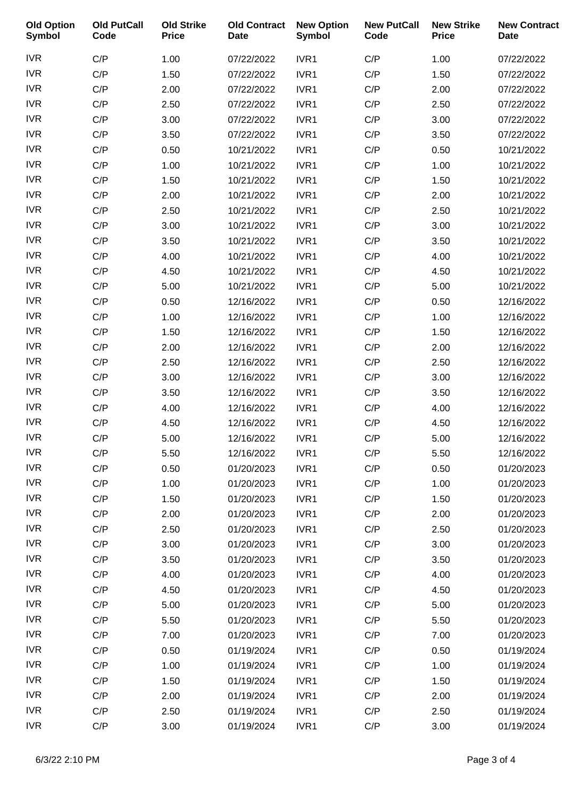| <b>Old Option</b><br><b>Symbol</b> | <b>Old PutCall</b><br>Code | <b>Old Strike</b><br><b>Price</b> | <b>Old Contract</b><br><b>Date</b> | <b>New Option</b><br><b>Symbol</b> | <b>New PutCall</b><br>Code | <b>New Strike</b><br><b>Price</b> | <b>New Contract</b><br><b>Date</b> |
|------------------------------------|----------------------------|-----------------------------------|------------------------------------|------------------------------------|----------------------------|-----------------------------------|------------------------------------|
| <b>IVR</b>                         | C/P                        | 1.00                              | 07/22/2022                         | IVR1                               | C/P                        | 1.00                              | 07/22/2022                         |
| <b>IVR</b>                         | C/P                        | 1.50                              | 07/22/2022                         | IVR1                               | C/P                        | 1.50                              | 07/22/2022                         |
| <b>IVR</b>                         | C/P                        | 2.00                              | 07/22/2022                         | IVR1                               | C/P                        | 2.00                              | 07/22/2022                         |
| <b>IVR</b>                         | C/P                        | 2.50                              | 07/22/2022                         | IVR1                               | C/P                        | 2.50                              | 07/22/2022                         |
| <b>IVR</b>                         | C/P                        | 3.00                              | 07/22/2022                         | IVR1                               | C/P                        | 3.00                              | 07/22/2022                         |
| <b>IVR</b>                         | C/P                        | 3.50                              | 07/22/2022                         | IVR1                               | C/P                        | 3.50                              | 07/22/2022                         |
| <b>IVR</b>                         | C/P                        | 0.50                              | 10/21/2022                         | IVR1                               | C/P                        | 0.50                              | 10/21/2022                         |
| <b>IVR</b>                         | C/P                        | 1.00                              | 10/21/2022                         | IVR1                               | C/P                        | 1.00                              | 10/21/2022                         |
| <b>IVR</b>                         | C/P                        | 1.50                              | 10/21/2022                         | IVR1                               | C/P                        | 1.50                              | 10/21/2022                         |
| <b>IVR</b>                         | C/P                        | 2.00                              | 10/21/2022                         | IVR1                               | C/P                        | 2.00                              | 10/21/2022                         |
| <b>IVR</b>                         | C/P                        | 2.50                              | 10/21/2022                         | IVR1                               | C/P                        | 2.50                              | 10/21/2022                         |
| <b>IVR</b>                         | C/P                        | 3.00                              | 10/21/2022                         | IVR1                               | C/P                        | 3.00                              | 10/21/2022                         |
| <b>IVR</b>                         | C/P                        | 3.50                              | 10/21/2022                         | IVR1                               | C/P                        | 3.50                              | 10/21/2022                         |
| <b>IVR</b>                         | C/P                        | 4.00                              | 10/21/2022                         | IVR1                               | C/P                        | 4.00                              | 10/21/2022                         |
| <b>IVR</b>                         | C/P                        | 4.50                              | 10/21/2022                         | IVR1                               | C/P                        | 4.50                              | 10/21/2022                         |
| <b>IVR</b>                         | C/P                        | 5.00                              | 10/21/2022                         | IVR1                               | C/P                        | 5.00                              | 10/21/2022                         |
| <b>IVR</b>                         | C/P                        | 0.50                              | 12/16/2022                         | IVR1                               | C/P                        | 0.50                              | 12/16/2022                         |
| <b>IVR</b>                         | C/P                        | 1.00                              | 12/16/2022                         | IVR1                               | C/P                        | 1.00                              | 12/16/2022                         |
| <b>IVR</b>                         | C/P                        | 1.50                              | 12/16/2022                         | IVR1                               | C/P                        | 1.50                              | 12/16/2022                         |
| <b>IVR</b>                         | C/P                        | 2.00                              | 12/16/2022                         | IVR1                               | C/P                        | 2.00                              | 12/16/2022                         |
| <b>IVR</b>                         | C/P                        | 2.50                              | 12/16/2022                         | IVR1                               | C/P                        | 2.50                              | 12/16/2022                         |
| <b>IVR</b>                         | C/P                        | 3.00                              | 12/16/2022                         | IVR1                               | C/P                        | 3.00                              | 12/16/2022                         |
| <b>IVR</b>                         | C/P                        | 3.50                              | 12/16/2022                         | IVR1                               | C/P                        | 3.50                              | 12/16/2022                         |
| <b>IVR</b>                         | C/P                        | 4.00                              | 12/16/2022                         | IVR1                               | C/P                        | 4.00                              | 12/16/2022                         |
| <b>IVR</b>                         | C/P                        | 4.50                              | 12/16/2022                         | IVR1                               | C/P                        | 4.50                              | 12/16/2022                         |
| <b>IVR</b>                         | C/P                        | 5.00                              | 12/16/2022                         | IVR1                               | C/P                        | 5.00                              | 12/16/2022                         |
| <b>IVR</b>                         | C/P                        | 5.50                              | 12/16/2022                         | IVR1                               | C/P                        | 5.50                              | 12/16/2022                         |
| <b>IVR</b>                         | C/P                        | 0.50                              | 01/20/2023                         | IVR1                               | C/P                        | 0.50                              | 01/20/2023                         |
| <b>IVR</b>                         | C/P                        | 1.00                              | 01/20/2023                         | IVR1                               | C/P                        | 1.00                              | 01/20/2023                         |
| <b>IVR</b>                         | C/P                        | 1.50                              | 01/20/2023                         | IVR1                               | C/P                        | 1.50                              | 01/20/2023                         |
| <b>IVR</b>                         | C/P                        | 2.00                              | 01/20/2023                         | IVR1                               | C/P                        | 2.00                              | 01/20/2023                         |
| <b>IVR</b>                         | C/P                        | 2.50                              | 01/20/2023                         | IVR1                               | C/P                        | 2.50                              | 01/20/2023                         |
| <b>IVR</b>                         | C/P                        | 3.00                              | 01/20/2023                         | IVR1                               | C/P                        | 3.00                              | 01/20/2023                         |
| <b>IVR</b>                         | C/P                        | 3.50                              | 01/20/2023                         | IVR1                               | C/P                        | 3.50                              | 01/20/2023                         |
| <b>IVR</b>                         | C/P                        | 4.00                              | 01/20/2023                         | IVR1                               | C/P                        | 4.00                              | 01/20/2023                         |
| <b>IVR</b>                         | C/P                        | 4.50                              | 01/20/2023                         | IVR1                               | C/P                        | 4.50                              | 01/20/2023                         |
| <b>IVR</b>                         | C/P                        | 5.00                              | 01/20/2023                         | IVR1                               | C/P                        | 5.00                              | 01/20/2023                         |
| <b>IVR</b>                         | C/P                        | 5.50                              | 01/20/2023                         | IVR1                               | C/P                        | 5.50                              | 01/20/2023                         |
| <b>IVR</b>                         | C/P                        | 7.00                              | 01/20/2023                         | IVR1                               | C/P                        | 7.00                              | 01/20/2023                         |
| <b>IVR</b>                         | C/P                        | 0.50                              | 01/19/2024                         | IVR1                               | C/P                        | 0.50                              | 01/19/2024                         |
| <b>IVR</b>                         | C/P                        | 1.00                              | 01/19/2024                         | IVR1                               | C/P                        | 1.00                              | 01/19/2024                         |
| <b>IVR</b>                         | C/P                        | 1.50                              | 01/19/2024                         | IVR1                               | C/P                        | 1.50                              | 01/19/2024                         |
| <b>IVR</b>                         | C/P                        | 2.00                              | 01/19/2024                         | IVR1                               | C/P                        | 2.00                              | 01/19/2024                         |
| <b>IVR</b>                         | C/P                        | 2.50                              | 01/19/2024                         | IVR1                               | C/P                        | 2.50                              | 01/19/2024                         |
| <b>IVR</b>                         | C/P                        | 3.00                              | 01/19/2024                         | IVR1                               | C/P                        | 3.00                              | 01/19/2024                         |